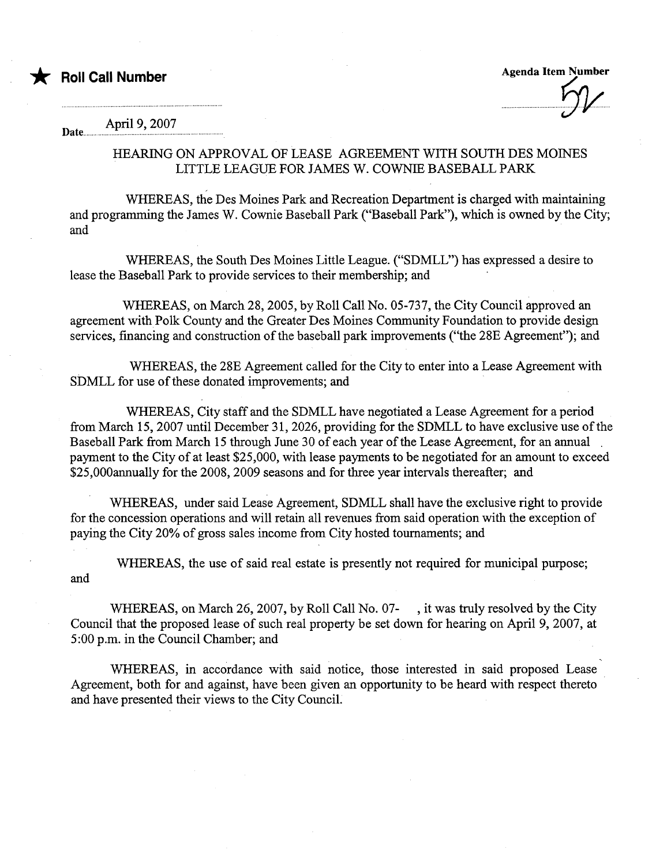

**Agenda Item Number** 

April 9, 2007 Date...

## HEARG ON APPROVAL OF LEASE AGREEMENT WITH SOUTH DES MOINS LITTLE LEAGUE FOR JAMES W. COWNIE BASEBALL PARK

WHEREAS, the Des Moines Park and Recreation Department is charged with maintaining and programing the James W. Cownie Baseball Park ("Baseball Park"), which is owned by the City; and

WHEREAS, the South Des Moines Little League. ("SDMLL") has expressed a desire to lease the Baseball Park to provide services to their membership; and

WHEREAS, on March 28, 2005, by Roll Call No. 05-737, the City Council approved an agreement with Polk County and the Greater Des Moines Community Foundation to provide design services, financing and construction of the baseball park improvements ("the 28E Agreement"); and

WHEREAS, the 28E Agreement called for the City to enter into a Lease Agreement with SDMLL for use of these donated improvements; and

WHEREAS, City staff and the SDMLL have negotiated a Lease Agreement for a period from March 15, 2007 until December 31, 2026, providing for the SDMLL to have exclusive use of the Baseball Park from March 15 through June 30 of each year of the Lease Agreement, for an annual payment to the City of at least \$25,000, with lease payments to be negotiated for an amount to exceed \$25,000anually for the 2008, 2009 seasons and for three year intervals thereafter; and

WHEREAS, under said Lease Agreement, SDMLL shall have the exclusive right to provide for the concession operations and will retain all revenues from said operation with the exception of paying the City 20% of gross sales income from City hosted touraments; and

WHEREAS, the use of said real estate is presently not required for municipal purpose; and

WHEREAS, on March 26, 2007, by Roll Call No. 07- , it was truly resolved by the City Council that the proposed lease of such real property be set down for hearng on April 9, 2007, at 5 :00 p.m. in the Council Chamber; and

WHEREAS, in accordance with said notice, those interested in said proposed Lease Agreement, both for and against, have been given an opportunity to be heard with respect thereto and have presented their views to the City CounciL.